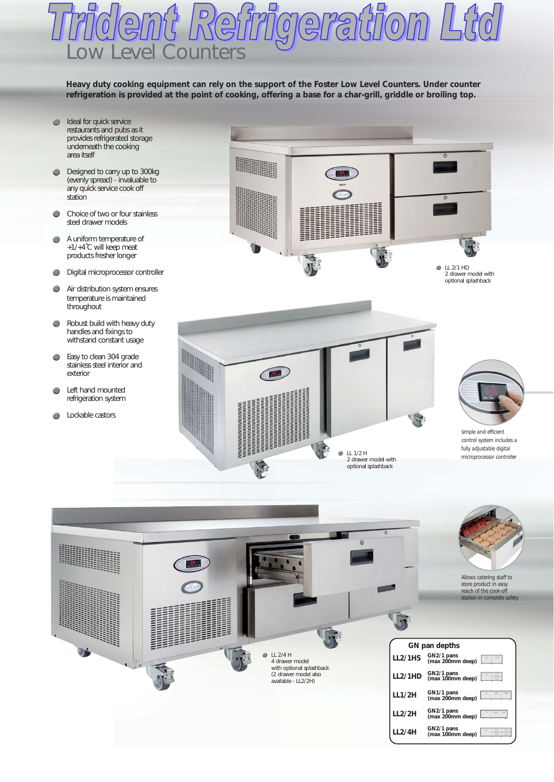## Low Level Counters

**Heavy duty cooking equipment can rely on the support of the Foster Low Level Counters. Under counter refrigeration is provided at the point of cooking, offering a base for a char-grill, griddle or broiling top.**

- Ideal for quick service  $\bullet$ restaurants and pubs as it provides refrigerated storage underneath the cooking area itself
- **Designed to carry up to 300kg** (evenly spread) - invaluable to any quick service cook off station
- Choice of two or four stainless steel drawer models
- A uniform temperature of +1/+4˚C will keep meat products fresher longer
- **Digital microprocessor controller**
- Air distribution system ensures temperature is maintained throughout
- **C** Robust build with heavy duty handles and fixings to withstand constant usage
- Easy to clean 304 grade stainless steel interior and exterior
- Left hand mounted  $\bullet$ refrigeration system
- **C** Lockable castors







*simple and efficient control system includes a fully adjustable digital microprocessor controller*

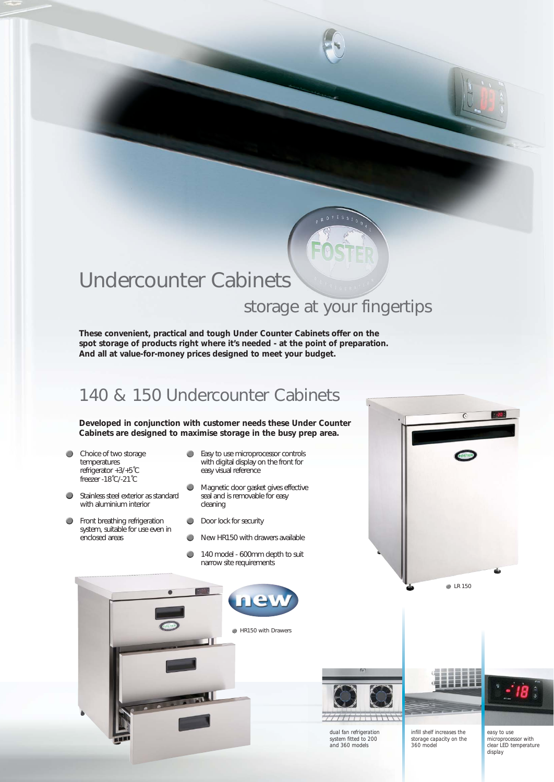## Undercounter Cabinets

## storage at your fingertips

**These convenient, practical and tough Under Counter Cabinets offer on the spot storage of products right where it's needed - at the point of preparation. And all at value-for-money prices designed to meet your budget.**

## 140 & 150 Undercounter Cabinets

**Developed in conjunction with customer needs these Under Counter Cabinets are designed to maximise storage in the busy prep area.**

- $\bullet$ Choice of two storage temperatures refrigerator +3/+5˚C freezer -18˚C/-21˚C
- $\bullet$ Stainless steel exterior as standard with aluminium interior
- Front breathing refrigeration ۸ system, suitable for use even in enclosed areas
- **Easy to use microprocessor controls** with digital display on the front for easy visual reference
- Magnetic door gasket gives effective  $\bullet$ seal and is removable for easy cleaning
- Door lock for security
- New HR150 with drawers available  $\bullet$
- 140 model 600mm depth to suit a narrow site requirements





*dual fan refrigeration system fitted to 200 and 360 models*

*infill shelf increases the storage capacity on the 360 model*

**LR 150** 

*easy to use* 

*microprocessor with clear LED temperature*

*display*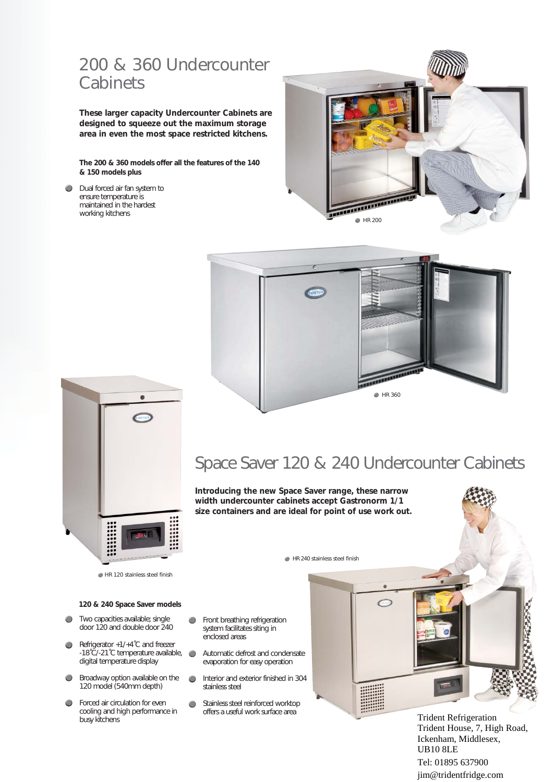### 200 & 360 Undercounter **Cabinets**

**These larger capacity Undercounter Cabinets are designed to squeeze out the maximum storage area in even the most space restricted kitchens.**

**The 200 & 360 models offer all the features of the 140 & 150 models plus**

**Dual forced air fan system to** ensure temperature is maintained in the hardest working kitchens







#### HR 120 stainless steel finish

#### **120 & 240 Space Saver models**

- Two capacities available; single  $\bullet$ door 120 and double door 240
- Refrigerator +1/+4˚C and freezer  $\bullet$ -18˚C/-21˚C temperature available, digital temperature display
- **Broadway option available on the** 120 model (540mm depth)
- $\bullet$ Forced air circulation for even cooling and high performance in busy kitchens

## Space Saver 120 & 240 Undercounter Cabinets

**Introducing the new Space Saver range, these narrow width undercounter cabinets accept Gastronorm 1/1 size containers and are ideal for point of use work out.**

HR 240 stainless steel finish

- Front breathing refrigeration  $\bullet$ system facilitates siting in enclosed areas
- Automatic defrost and condensate  $\bullet$ evaporation for easy operation
- $\bigcirc$ Interior and exterior finished in 304 stainless steel
- Stainless steel reinforced worktop ۸ offers a useful work surface area



Trident Refrigeration Trident House, 7, High Road, Ickenham, Middlesex, UB10 8LE Tel: 01895 637900 jim@tridentfridge.com